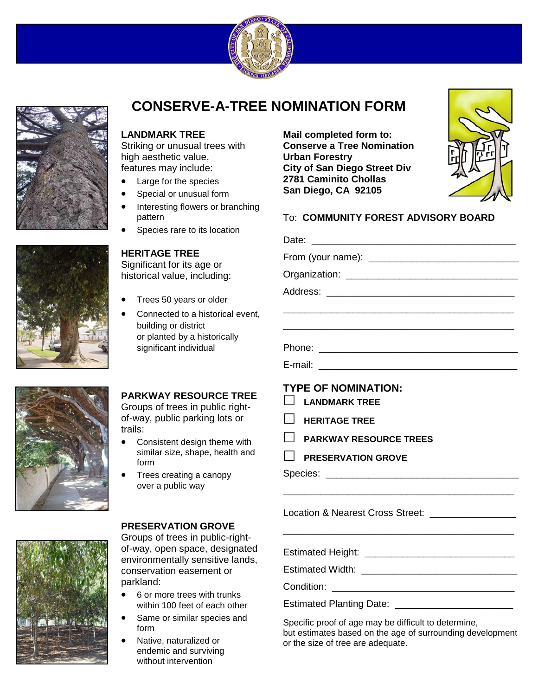



# **CONSERVE-A-TREE NOMINATION FORM**

#### **LANDMARK TREE**

Striking or unusual trees with high aesthetic value, features may include:

- Large for the species
- Special or unusual form
- Interesting flowers or branching pattern
- Species rare to its location

### **HERITAGE TREE**

Significant for its age or historical value, including:

- Trees 50 years or older
- Connected to a historical event, building or district or planted by a historically significant individual

## **PARKWAY RESOURCE TREE**

Groups of trees in public rightof-way, public parking lots or trails:

- Consistent design theme with similar size, shape, health and form
- Trees creating a canopy over a public way

#### **PRESERVATION GROVE**

Groups of trees in public-rightof-way, open space, designated environmentally sensitive lands, conservation easement or parkland:

- 6 or more trees with trunks within 100 feet of each other
- Same or similar species and form
- Native, naturalized or endemic and surviving without intervention

**Mail completed form to: Conserve a Tree Nomination Urban Forestry City of San Diego Street Div 2781 Caminito Chollas San Diego, CA 92105** 



| $\blacksquare$ | <b>TYPE OF NOMINATION:</b><br><b>LANDMARK TREE</b><br><b>HERITAGE TREE</b> |
|----------------|----------------------------------------------------------------------------|
| $\Box$         | <b>PARKWAY RESOURCE TREES</b>                                              |
| $\blacksquare$ | <b>PRESERVATION GROVE</b>                                                  |
|                |                                                                            |
|                |                                                                            |

Estimated Width: \_\_\_\_\_\_\_\_\_\_\_\_\_\_\_\_\_\_\_\_\_\_\_\_\_\_\_\_\_

Condition: **Example 20** and 20 and 20 and 20 and 20 and 20 and 20 and 20 and 20 and 20 and 20 and 20 and 20 and 20 and 20 and 20 and 20 and 20 and 20 and 20 and 20 and 20 and 20 and 20 and 20 and 20 and 20 and 20 and 20 an

Estimated Planting Date: \_\_\_\_\_\_\_\_\_\_\_\_\_\_\_\_\_\_\_\_\_\_

Specific proof of age may be difficult to determine, but estimates based on the age of surrounding development or the size of tree are adequate.